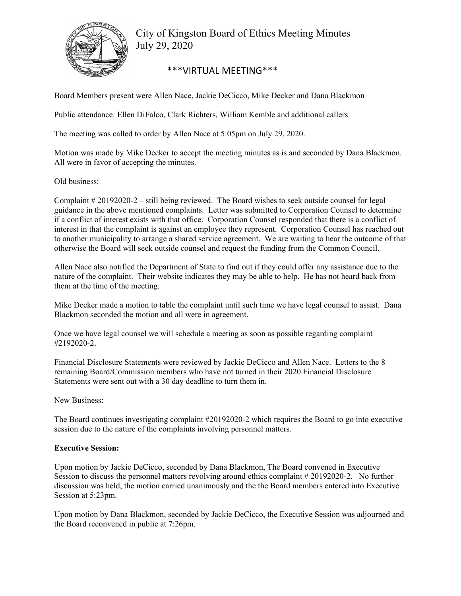

City of Kingston Board of Ethics Meeting Minutes July 29, 2020

## \*\*\*VIRTUAL MEETING\*\*\*

Board Members present were Allen Nace, Jackie DeCicco, Mike Decker and Dana Blackmon

Public attendance: Ellen DiFalco, Clark Richters, William Kemble and additional callers

The meeting was called to order by Allen Nace at 5:05pm on July 29, 2020.

Motion was made by Mike Decker to accept the meeting minutes as is and seconded by Dana Blackmon. All were in favor of accepting the minutes.

Old business:

Complaint # 20192020-2 – still being reviewed. The Board wishes to seek outside counsel for legal guidance in the above mentioned complaints. Letter was submitted to Corporation Counsel to determine if a conflict of interest exists with that office. Corporation Counsel responded that there is a conflict of interest in that the complaint is against an employee they represent. Corporation Counsel has reached out to another municipality to arrange a shared service agreement. We are waiting to hear the outcome of that otherwise the Board will seek outside counsel and request the funding from the Common Council.

Allen Nace also notified the Department of State to find out if they could offer any assistance due to the nature of the complaint. Their website indicates they may be able to help. He has not heard back from them at the time of the meeting.

Mike Decker made a motion to table the complaint until such time we have legal counsel to assist. Dana Blackmon seconded the motion and all were in agreement.

Once we have legal counsel we will schedule a meeting as soon as possible regarding complaint #2192020-2.

Financial Disclosure Statements were reviewed by Jackie DeCicco and Allen Nace. Letters to the 8 remaining Board/Commission members who have not turned in their 2020 Financial Disclosure Statements were sent out with a 30 day deadline to turn them in.

New Business:

The Board continues investigating complaint #20192020-2 which requires the Board to go into executive session due to the nature of the complaints involving personnel matters.

## **Executive Session:**

Upon motion by Jackie DeCicco, seconded by Dana Blackmon, The Board convened in Executive Session to discuss the personnel matters revolving around ethics complaint # 20192020-2. No further discussion was held, the motion carried unanimously and the the Board members entered into Executive Session at 5:23pm.

Upon motion by Dana Blackmon, seconded by Jackie DeCicco, the Executive Session was adjourned and the Board reconvened in public at 7:26pm.